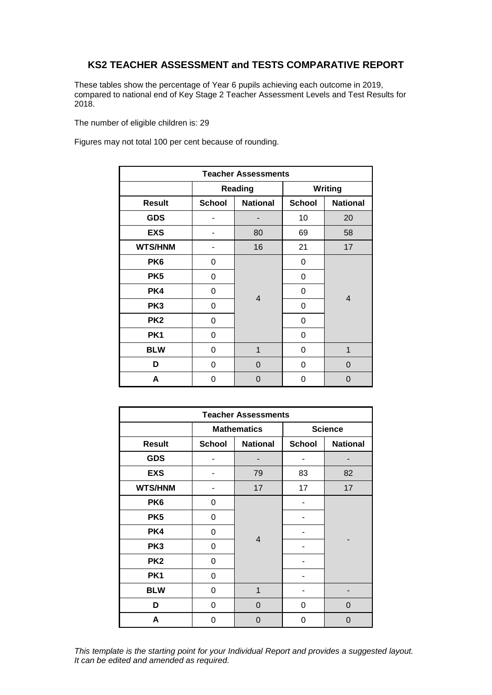## **KS2 TEACHER ASSESSMENT and TESTS COMPARATIVE REPORT**

These tables show the percentage of Year 6 pupils achieving each outcome in 2019, compared to national end of Key Stage 2 Teacher Assessment Levels and Test Results for 2018.

The number of eligible children is: 29

Figures may not total 100 per cent because of rounding.

| <b>Teacher Assessments</b> |               |                 |               |                 |  |  |  |
|----------------------------|---------------|-----------------|---------------|-----------------|--|--|--|
|                            |               | Reading         | Writing       |                 |  |  |  |
| <b>Result</b>              | <b>School</b> | <b>National</b> | <b>School</b> | <b>National</b> |  |  |  |
| <b>GDS</b>                 |               |                 | 10            | 20              |  |  |  |
| <b>EXS</b>                 | 80<br>69      |                 |               | 58              |  |  |  |
| <b>WTS/HNM</b>             |               | 16<br>21        |               | 17              |  |  |  |
| PK <sub>6</sub>            | 0             |                 | 0             |                 |  |  |  |
| PK <sub>5</sub>            | 0             |                 | 0             |                 |  |  |  |
| PK4                        | 0             | $\overline{4}$  | 0             | $\overline{4}$  |  |  |  |
| PK3                        | 0             |                 | 0             |                 |  |  |  |
| PK <sub>2</sub>            | 0             |                 | 0             |                 |  |  |  |
| PK <sub>1</sub>            | 0             |                 | 0             |                 |  |  |  |
| <b>BLW</b>                 | 0             | 1<br>0          |               | 1               |  |  |  |
| D                          | 0             | 0               | 0             |                 |  |  |  |
| A                          | 0             | 0               | 0             | 0               |  |  |  |

| <b>Teacher Assessments</b> |               |                    |                |                 |  |  |  |
|----------------------------|---------------|--------------------|----------------|-----------------|--|--|--|
|                            |               | <b>Mathematics</b> | <b>Science</b> |                 |  |  |  |
| <b>Result</b>              | <b>School</b> | <b>National</b>    | <b>School</b>  | <b>National</b> |  |  |  |
| <b>GDS</b>                 |               |                    |                |                 |  |  |  |
| <b>EXS</b>                 |               | 79                 |                | 82              |  |  |  |
| <b>WTS/HNM</b>             |               | 17                 |                | 17              |  |  |  |
| PK <sub>6</sub>            | 0             |                    |                |                 |  |  |  |
| PK <sub>5</sub>            | 0             |                    |                |                 |  |  |  |
| PK4                        | 0             | $\overline{4}$     |                |                 |  |  |  |
| PK3                        | 0             |                    |                |                 |  |  |  |
| PK <sub>2</sub>            | 0             |                    |                |                 |  |  |  |
| PK <sub>1</sub>            | 0             |                    |                |                 |  |  |  |
| <b>BLW</b>                 | 0             | 1                  |                |                 |  |  |  |
| D                          | 0             | $\Omega$           | 0              | $\Omega$        |  |  |  |
| A                          | 0             | 0                  | 0              | 0               |  |  |  |

*This template is the starting point for your Individual Report and provides a suggested layout. It can be edited and amended as required.*